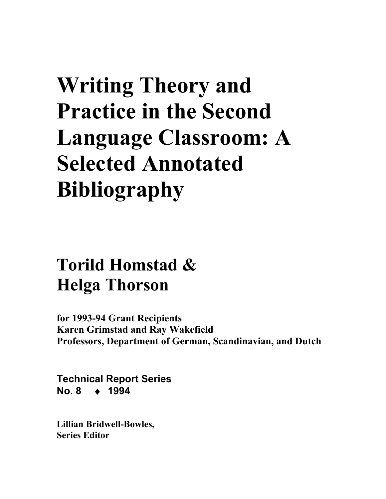# **Writing Theory and Practice in the Second Language Classroom: A Selected Annotated Bibliography**

## **Torild Homstad & Helga Thorson**

**for 1993-94 Grant Recipients Karen Grimstad and Ray Wakefield Professors, Department of German, Scandinavian, and Dutch** 

**Technical Report Series No. 8** ♦ **1994** 

**Lillian Bridwell-Bowles, Series Editor**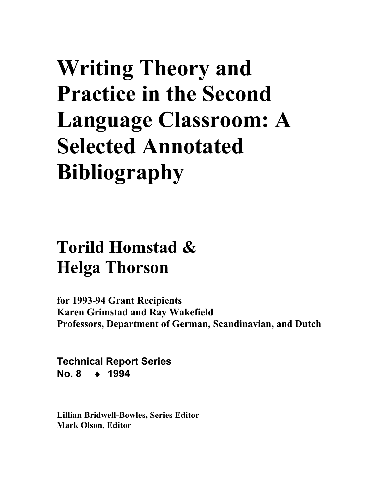# **Writing Theory and Practice in the Second Language Classroom: A Selected Annotated Bibliography**

## **Torild Homstad & Helga Thorson**

**for 1993-94 Grant Recipients Karen Grimstad and Ray Wakefield Professors, Department of German, Scandinavian, and Dutch** 

**Technical Report Series No. 8** ♦ **1994** 

**Lillian Bridwell-Bowles, Series Editor Mark Olson, Editor**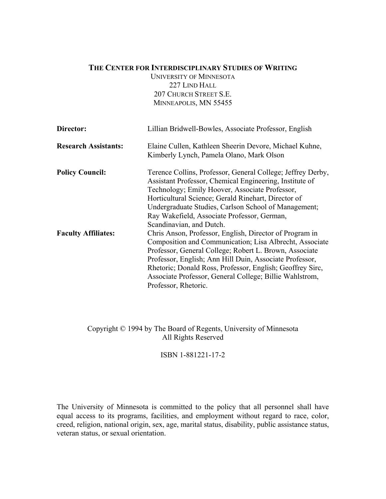#### **THE CENTER FOR INTERDISCIPLINARY STUDIES OF WRITING**

UNIVERSITY OF MINNESOTA 227 LIND HALL 207 CHURCH STREET S.E. MINNEAPOLIS, MN 55455

| Director:                   | Lillian Bridwell-Bowles, Associate Professor, English                                              |
|-----------------------------|----------------------------------------------------------------------------------------------------|
| <b>Research Assistants:</b> | Elaine Cullen, Kathleen Sheerin Devore, Michael Kuhne,<br>Kimberly Lynch, Pamela Olano, Mark Olson |
|                             |                                                                                                    |
| <b>Policy Council:</b>      | Terence Collins, Professor, General College; Jeffrey Derby,                                        |
|                             | Assistant Professor, Chemical Engineering, Institute of                                            |
|                             | Technology; Emily Hoover, Associate Professor,                                                     |
|                             | Horticultural Science; Gerald Rinehart, Director of                                                |
|                             | Undergraduate Studies, Carlson School of Management;                                               |
|                             | Ray Wakefield, Associate Professor, German,                                                        |
|                             | Scandinavian, and Dutch.                                                                           |
| <b>Faculty Affiliates:</b>  | Chris Anson, Professor, English, Director of Program in                                            |
|                             | Composition and Communication; Lisa Albrecht, Associate                                            |
|                             | Professor, General College; Robert L. Brown, Associate                                             |
|                             | Professor, English; Ann Hill Duin, Associate Professor,                                            |
|                             | Rhetoric; Donald Ross, Professor, English; Geoffrey Sirc,                                          |
|                             | Associate Professor, General College; Billie Wahlstrom,                                            |
|                             | Professor, Rhetoric.                                                                               |

#### Copyright © 1994 by The Board of Regents, University of Minnesota All Rights Reserved

ISBN 1-881221-17-2

The University of Minnesota is committed to the policy that all personnel shall have equal access to its programs, facilities, and employment without regard to race, color, creed, religion, national origin, sex, age, marital status, disability, public assistance status, veteran status, or sexual orientation.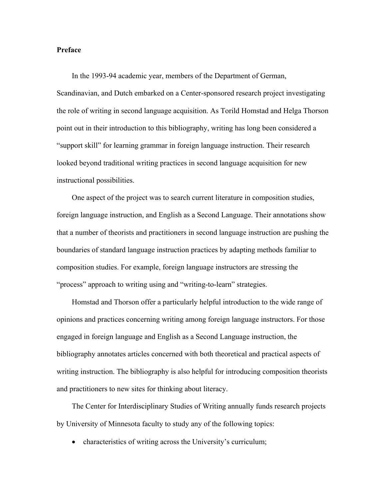#### **Preface**

In the 1993-94 academic year, members of the Department of German, Scandinavian, and Dutch embarked on a Center-sponsored research project investigating the role of writing in second language acquisition. As Torild Homstad and Helga Thorson point out in their introduction to this bibliography, writing has long been considered a "support skill" for learning grammar in foreign language instruction. Their research looked beyond traditional writing practices in second language acquisition for new instructional possibilities.

One aspect of the project was to search current literature in composition studies, foreign language instruction, and English as a Second Language. Their annotations show that a number of theorists and practitioners in second language instruction are pushing the boundaries of standard language instruction practices by adapting methods familiar to composition studies. For example, foreign language instructors are stressing the "process" approach to writing using and "writing-to-learn" strategies.

Homstad and Thorson offer a particularly helpful introduction to the wide range of opinions and practices concerning writing among foreign language instructors. For those engaged in foreign language and English as a Second Language instruction, the bibliography annotates articles concerned with both theoretical and practical aspects of writing instruction. The bibliography is also helpful for introducing composition theorists and practitioners to new sites for thinking about literacy.

The Center for Interdisciplinary Studies of Writing annually funds research projects by University of Minnesota faculty to study any of the following topics:

• characteristics of writing across the University's curriculum;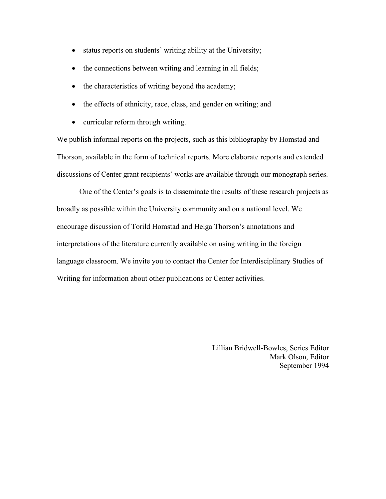- status reports on students' writing ability at the University;
- the connections between writing and learning in all fields;
- the characteristics of writing beyond the academy;
- the effects of ethnicity, race, class, and gender on writing; and
- curricular reform through writing.

We publish informal reports on the projects, such as this bibliography by Homstad and Thorson, available in the form of technical reports. More elaborate reports and extended discussions of Center grant recipients' works are available through our monograph series.

One of the Center's goals is to disseminate the results of these research projects as broadly as possible within the University community and on a national level. We encourage discussion of Torild Homstad and Helga Thorson's annotations and interpretations of the literature currently available on using writing in the foreign language classroom. We invite you to contact the Center for Interdisciplinary Studies of Writing for information about other publications or Center activities.

> Lillian Bridwell-Bowles, Series Editor Mark Olson, Editor September 1994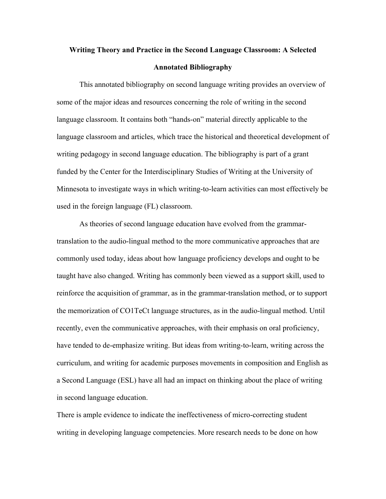### **Writing Theory and Practice in the Second Language Classroom: A Selected Annotated Bibliography**

This annotated bibliography on second language writing provides an overview of some of the major ideas and resources concerning the role of writing in the second language classroom. It contains both "hands-on" material directly applicable to the language classroom and articles, which trace the historical and theoretical development of writing pedagogy in second language education. The bibliography is part of a grant funded by the Center for the Interdisciplinary Studies of Writing at the University of Minnesota to investigate ways in which writing-to-learn activities can most effectively be used in the foreign language (FL) classroom.

As theories of second language education have evolved from the grammartranslation to the audio-lingual method to the more communicative approaches that are commonly used today, ideas about how language proficiency develops and ought to be taught have also changed. Writing has commonly been viewed as a support skill, used to reinforce the acquisition of grammar, as in the grammar-translation method, or to support the memorization of CO1TeCt language structures, as in the audio-lingual method. Until recently, even the communicative approaches, with their emphasis on oral proficiency, have tended to de-emphasize writing. But ideas from writing-to-learn, writing across the curriculum, and writing for academic purposes movements in composition and English as a Second Language (ESL) have all had an impact on thinking about the place of writing in second language education.

There is ample evidence to indicate the ineffectiveness of micro-correcting student writing in developing language competencies. More research needs to be done on how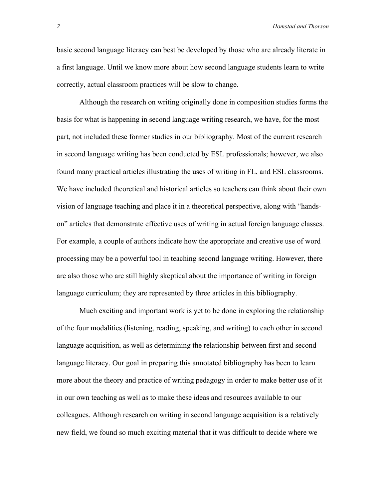basic second language literacy can best be developed by those who are already literate in a first language. Until we know more about how second language students learn to write correctly, actual classroom practices will be slow to change.

Although the research on writing originally done in composition studies forms the basis for what is happening in second language writing research, we have, for the most part, not included these former studies in our bibliography. Most of the current research in second language writing has been conducted by ESL professionals; however, we also found many practical articles illustrating the uses of writing in FL, and ESL classrooms. We have included theoretical and historical articles so teachers can think about their own vision of language teaching and place it in a theoretical perspective, along with "handson" articles that demonstrate effective uses of writing in actual foreign language classes. For example, a couple of authors indicate how the appropriate and creative use of word processing may be a powerful tool in teaching second language writing. However, there are also those who are still highly skeptical about the importance of writing in foreign language curriculum; they are represented by three articles in this bibliography.

Much exciting and important work is yet to be done in exploring the relationship of the four modalities (listening, reading, speaking, and writing) to each other in second language acquisition, as well as determining the relationship between first and second language literacy. Our goal in preparing this annotated bibliography has been to learn more about the theory and practice of writing pedagogy in order to make better use of it in our own teaching as well as to make these ideas and resources available to our colleagues. Although research on writing in second language acquisition is a relatively new field, we found so much exciting material that it was difficult to decide where we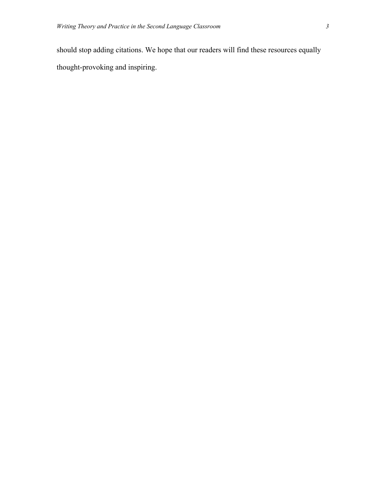should stop adding citations. We hope that our readers will find these resources equally thought-provoking and inspiring.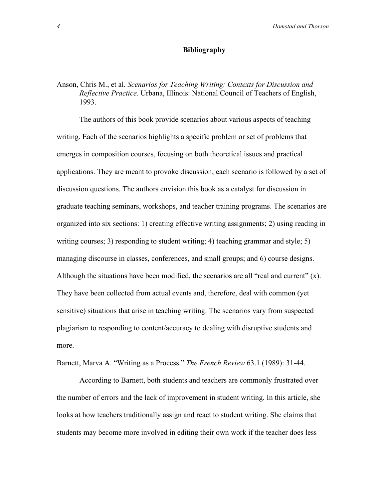#### **Bibliography**

#### Anson, Chris M., et al. *Scenarios for Teaching Writing: Contexts for Discussion and Reflective Practice.* Urbana, Illinois: National Council of Teachers of English, 1993.

The authors of this book provide scenarios about various aspects of teaching writing. Each of the scenarios highlights a specific problem or set of problems that emerges in composition courses, focusing on both theoretical issues and practical applications. They are meant to provoke discussion; each scenario is followed by a set of discussion questions. The authors envision this book as a catalyst for discussion in graduate teaching seminars, workshops, and teacher training programs. The scenarios are organized into six sections: 1) creating effective writing assignments; 2) using reading in writing courses; 3) responding to student writing; 4) teaching grammar and style; 5) managing discourse in classes, conferences, and small groups; and 6) course designs. Although the situations have been modified, the scenarios are all "real and current" (x). They have been collected from actual events and, therefore, deal with common (yet sensitive) situations that arise in teaching writing. The scenarios vary from suspected plagiarism to responding to content/accuracy to dealing with disruptive students and more.

Barnett, Marva A. "Writing as a Process." *The French Review* 63.1 (1989): 31-44.

According to Barnett, both students and teachers are commonly frustrated over the number of errors and the lack of improvement in student writing. In this article, she looks at how teachers traditionally assign and react to student writing. She claims that students may become more involved in editing their own work if the teacher does less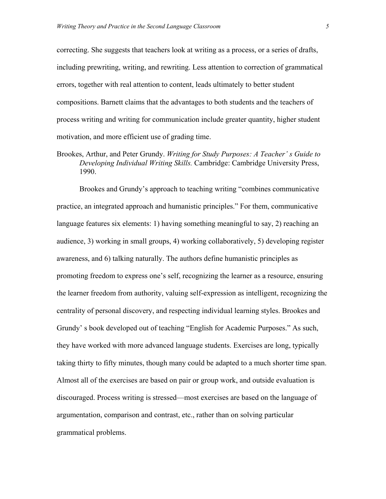correcting. She suggests that teachers look at writing as a process, or a series of drafts, including prewriting, writing, and rewriting. Less attention to correction of grammatical errors, together with real attention to content, leads ultimately to better student compositions. Barnett claims that the advantages to both students and the teachers of process writing and writing for communication include greater quantity, higher student motivation, and more efficient use of grading time.

Brookes, Arthur, and Peter Grundy. *Writing for Study Purposes: A Teacher' s Guide to Developing Individual Writing Skills.* Cambridge: Cambridge University Press, 1990.

Brookes and Grundy's approach to teaching writing "combines communicative practice, an integrated approach and humanistic principles." For them, communicative language features six elements: 1) having something meaningful to say, 2) reaching an audience, 3) working in small groups, 4) working collaboratively, 5) developing register awareness, and 6) talking naturally. The authors define humanistic principles as promoting freedom to express one's self, recognizing the learner as a resource, ensuring the learner freedom from authority, valuing self-expression as intelligent, recognizing the centrality of personal discovery, and respecting individual learning styles. Brookes and Grundy' s book developed out of teaching "English for Academic Purposes." As such, they have worked with more advanced language students. Exercises are long, typically taking thirty to fifty minutes, though many could be adapted to a much shorter time span. Almost all of the exercises are based on pair or group work, and outside evaluation is discouraged. Process writing is stressed—most exercises are based on the language of argumentation, comparison and contrast, etc., rather than on solving particular grammatical problems.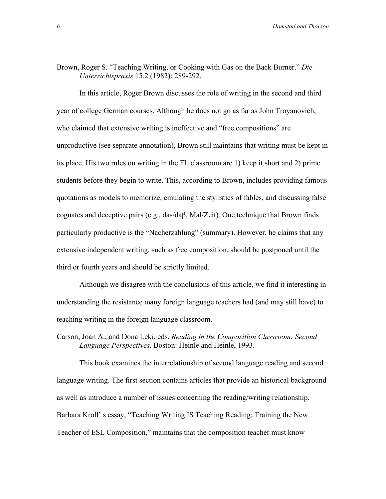#### Brown, Roger S. "Teaching Writing, or Cooking with Gas on the Back Burner." *Die Unterrichtspraxis* 15.2 (1982): 289-292.

In this article, Roger Brown discusses the role of writing in the second and third year of college German courses. Although he does not go as far as John Troyanovich, who claimed that extensive writing is ineffective and "free compositions" are unproductive (see separate annotation), Brown still maintains that writing must be kept in its place. His two rules on writing in the FL classroom are 1) keep it short and 2) prime students before they begin to write. This, according to Brown, includes providing famous quotations as models to memorize, emulating the stylistics of fables, and discussing false cognates and deceptive pairs (e.g., das/daβ, Mal/Zeit). One technique that Brown finds particularly productive is the "Nacherzahlung" (summary). However, he claims that any extensive independent writing, such as free composition, should be postponed until the third or fourth years and should be strictly limited.

Although we disagree with the conclusions of this article, we find it interesting in understanding the resistance many foreign language teachers had (and may still have) to teaching writing in the foreign language classroom.

Carson, Joan A., and Dona Leki, eds. *Reading in the Composition Classroom: Second Language Perspectives.* Boston: Heinle and Heinle, 1993.

This book examines the interrelationship of second language reading and second language writing. The first section contains articles that provide an historical background as well as introduce a number of issues concerning the reading/writing relationship. Barbara Kroll' s essay, "Teaching Writing IS Teaching Reading: Training the New Teacher of ESL Composition," maintains that the composition teacher must know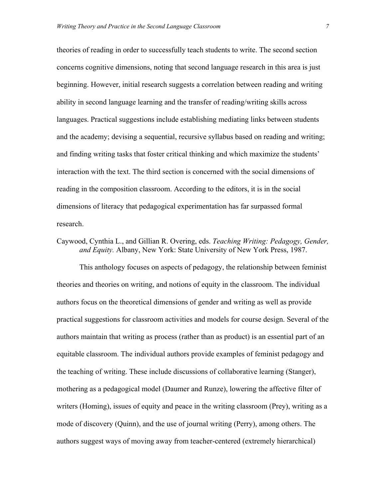theories of reading in order to successfully teach students to write. The second section concerns cognitive dimensions, noting that second language research in this area is just beginning. However, initial research suggests a correlation between reading and writing ability in second language learning and the transfer of reading/writing skills across languages. Practical suggestions include establishing mediating links between students and the academy; devising a sequential, recursive syllabus based on reading and writing; and finding writing tasks that foster critical thinking and which maximize the students' interaction with the text. The third section is concerned with the social dimensions of reading in the composition classroom. According to the editors, it is in the social dimensions of literacy that pedagogical experimentation has far surpassed formal research.

#### Caywood, Cynthia L., and Gillian R. Overing, eds. *Teaching Writing: Pedagogy, Gender, and Equity.* Albany, New York: State University of New York Press, 1987.

This anthology focuses on aspects of pedagogy, the relationship between feminist theories and theories on writing, and notions of equity in the classroom. The individual authors focus on the theoretical dimensions of gender and writing as well as provide practical suggestions for classroom activities and models for course design. Several of the authors maintain that writing as process (rather than as product) is an essential part of an equitable classroom. The individual authors provide examples of feminist pedagogy and the teaching of writing. These include discussions of collaborative learning (Stanger), mothering as a pedagogical model (Daumer and Runze), lowering the affective filter of writers (Homing), issues of equity and peace in the writing classroom (Prey), writing as a mode of discovery (Quinn), and the use of journal writing (Perry), among others. The authors suggest ways of moving away from teacher-centered (extremely hierarchical)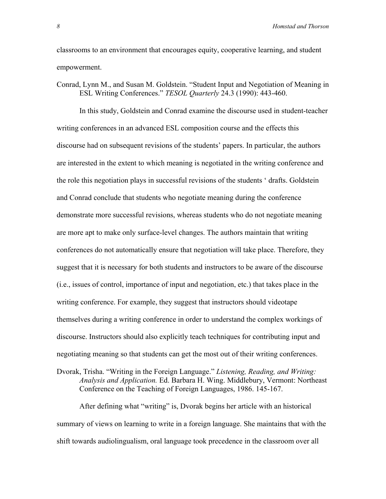classrooms to an environment that encourages equity, cooperative learning, and student empowerment.

Conrad, Lynn M., and Susan M. Goldstein. "Student Input and Negotiation of Meaning in ESL Writing Conferences." *TESOL Quarterly* 24.3 (1990): 443-460.

In this study, Goldstein and Conrad examine the discourse used in student-teacher writing conferences in an advanced ESL composition course and the effects this discourse had on subsequent revisions of the students' papers. In particular, the authors are interested in the extent to which meaning is negotiated in the writing conference and the role this negotiation plays in successful revisions of the students ' drafts. Goldstein and Conrad conclude that students who negotiate meaning during the conference demonstrate more successful revisions, whereas students who do not negotiate meaning are more apt to make only surface-level changes. The authors maintain that writing conferences do not automatically ensure that negotiation will take place. Therefore, they suggest that it is necessary for both students and instructors to be aware of the discourse (i.e., issues of control, importance of input and negotiation, etc.) that takes place in the writing conference. For example, they suggest that instructors should videotape themselves during a writing conference in order to understand the complex workings of discourse. Instructors should also explicitly teach techniques for contributing input and negotiating meaning so that students can get the most out of their writing conferences.

Dvorak, Trisha. "Writing in the Foreign Language." *Listening, Reading, and Writing: Analysis and Application.* Ed. Barbara H. Wing. Middlebury, Vermont: Northeast Conference on the Teaching of Foreign Languages, 1986. 145-167.

After defining what "writing" is, Dvorak begins her article with an historical summary of views on learning to write in a foreign language. She maintains that with the shift towards audiolingualism, oral language took precedence in the classroom over all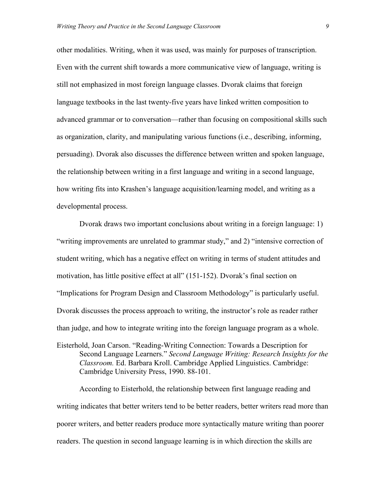other modalities. Writing, when it was used, was mainly for purposes of transcription. Even with the current shift towards a more communicative view of language, writing is still not emphasized in most foreign language classes. Dvorak claims that foreign language textbooks in the last twenty-five years have linked written composition to advanced grammar or to conversation—rather than focusing on compositional skills such as organization, clarity, and manipulating various functions (i.e., describing, informing, persuading). Dvorak also discusses the difference between written and spoken language, the relationship between writing in a first language and writing in a second language, how writing fits into Krashen's language acquisition/learning model, and writing as a developmental process.

Dvorak draws two important conclusions about writing in a foreign language: 1) "writing improvements are unrelated to grammar study," and 2) "intensive correction of student writing, which has a negative effect on writing in terms of student attitudes and motivation, has little positive effect at all" (151-152). Dvorak's final section on "Implications for Program Design and Classroom Methodology" is particularly useful. Dvorak discusses the process approach to writing, the instructor's role as reader rather than judge, and how to integrate writing into the foreign language program as a whole.

Eisterhold, Joan Carson. "Reading-Writing Connection: Towards a Description for Second Language Learners." *Second Language Writing: Research Insights for the Classroom.* Ed. Barbara Kroll. Cambridge Applied Linguistics. Cambridge: Cambridge University Press, 1990. 88-101.

According to Eisterhold, the relationship between first language reading and writing indicates that better writers tend to be better readers, better writers read more than poorer writers, and better readers produce more syntactically mature writing than poorer readers. The question in second language learning is in which direction the skills are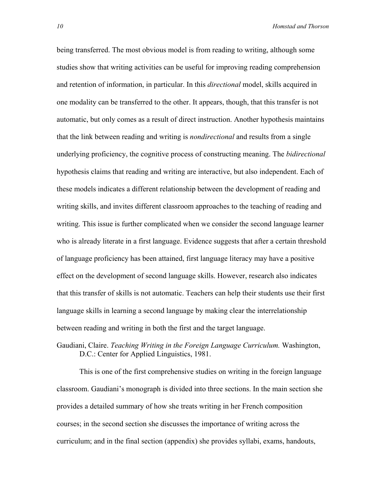being transferred. The most obvious model is from reading to writing, although some studies show that writing activities can be useful for improving reading comprehension and retention of information, in particular. In this *directional* model, skills acquired in one modality can be transferred to the other. It appears, though, that this transfer is not automatic, but only comes as a result of direct instruction. Another hypothesis maintains that the link between reading and writing is *nondirectional* and results from a single underlying proficiency, the cognitive process of constructing meaning. The *bidirectional* hypothesis claims that reading and writing are interactive, but also independent. Each of these models indicates a different relationship between the development of reading and writing skills, and invites different classroom approaches to the teaching of reading and writing. This issue is further complicated when we consider the second language learner who is already literate in a first language. Evidence suggests that after a certain threshold of language proficiency has been attained, first language literacy may have a positive effect on the development of second language skills. However, research also indicates that this transfer of skills is not automatic. Teachers can help their students use their first language skills in learning a second language by making clear the interrelationship between reading and writing in both the first and the target language.

Gaudiani, Claire. *Teaching Writing in the Foreign Language Curriculum.* Washington, D.C.: Center for Applied Linguistics, 1981.

This is one of the first comprehensive studies on writing in the foreign language classroom. Gaudiani's monograph is divided into three sections. In the main section she provides a detailed summary of how she treats writing in her French composition courses; in the second section she discusses the importance of writing across the curriculum; and in the final section (appendix) she provides syllabi, exams, handouts,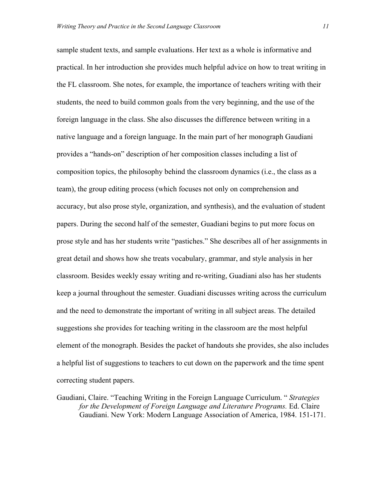sample student texts, and sample evaluations. Her text as a whole is informative and practical. In her introduction she provides much helpful advice on how to treat writing in the FL classroom. She notes, for example, the importance of teachers writing with their students, the need to build common goals from the very beginning, and the use of the foreign language in the class. She also discusses the difference between writing in a native language and a foreign language. In the main part of her monograph Gaudiani provides a "hands-on" description of her composition classes including a list of composition topics, the philosophy behind the classroom dynamics (i.e., the class as a team), the group editing process (which focuses not only on comprehension and accuracy, but also prose style, organization, and synthesis), and the evaluation of student papers. During the second half of the semester, Guadiani begins to put more focus on prose style and has her students write "pastiches." She describes all of her assignments in great detail and shows how she treats vocabulary, grammar, and style analysis in her classroom. Besides weekly essay writing and re-writing, Guadiani also has her students keep a journal throughout the semester. Guadiani discusses writing across the curriculum and the need to demonstrate the important of writing in all subject areas. The detailed suggestions she provides for teaching writing in the classroom are the most helpful element of the monograph. Besides the packet of handouts she provides, she also includes a helpful list of suggestions to teachers to cut down on the paperwork and the time spent correcting student papers.

Gaudiani, Claire. "Teaching Writing in the Foreign Language Curriculum. " *Strategies for the Development of Foreign Language and Literature Programs.* Ed. Claire Gaudiani. New York: Modern Language Association of America, 1984. 151-171.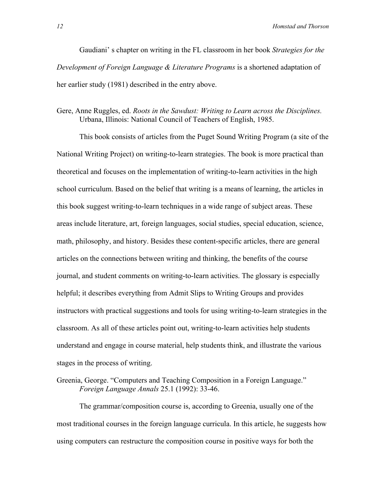Gaudiani' s chapter on writing in the FL classroom in her book *Strategies for the Development of Foreign Language & Literature Programs* is a shortened adaptation of her earlier study (1981) described in the entry above.

#### Gere, Anne Ruggles, ed. *Roots in the Sawdust: Writing to Learn across the Disciplines.* Urbana, Illinois: National Council of Teachers of English, 1985.

This book consists of articles from the Puget Sound Writing Program (a site of the National Writing Project) on writing-to-learn strategies. The book is more practical than theoretical and focuses on the implementation of writing-to-learn activities in the high school curriculum. Based on the belief that writing is a means of learning, the articles in this book suggest writing-to-learn techniques in a wide range of subject areas. These areas include literature, art, foreign languages, social studies, special education, science, math, philosophy, and history. Besides these content-specific articles, there are general articles on the connections between writing and thinking, the benefits of the course journal, and student comments on writing-to-learn activities. The glossary is especially helpful; it describes everything from Admit Slips to Writing Groups and provides instructors with practical suggestions and tools for using writing-to-learn strategies in the classroom. As all of these articles point out, writing-to-learn activities help students understand and engage in course material, help students think, and illustrate the various stages in the process of writing.

Greenia, George. "Computers and Teaching Composition in a Foreign Language." *Foreign Language Annals* 25.1 (1992): 33-46.

The grammar/composition course is, according to Greenia, usually one of the most traditional courses in the foreign language curricula. In this article, he suggests how using computers can restructure the composition course in positive ways for both the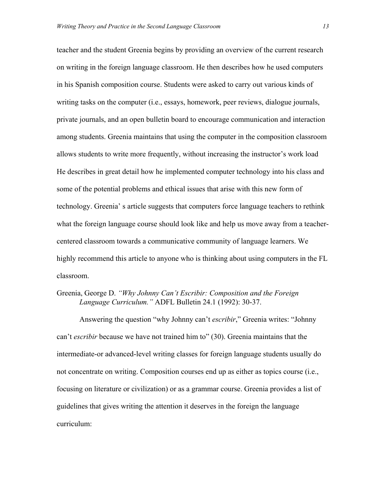teacher and the student Greenia begins by providing an overview of the current research on writing in the foreign language classroom. He then describes how he used computers in his Spanish composition course. Students were asked to carry out various kinds of writing tasks on the computer (i.e., essays, homework, peer reviews, dialogue journals, private journals, and an open bulletin board to encourage communication and interaction among students. Greenia maintains that using the computer in the composition classroom allows students to write more frequently, without increasing the instructor's work load He describes in great detail how he implemented computer technology into his class and some of the potential problems and ethical issues that arise with this new form of technology. Greenia' s article suggests that computers force language teachers to rethink what the foreign language course should look like and help us move away from a teachercentered classroom towards a communicative community of language learners. We highly recommend this article to anyone who is thinking about using computers in the FL classroom.

#### Greenia, George D. *"Why Johnny Can't Escribir: Composition and the Foreign Language Curriculum."* ADFL Bulletin 24.1 (1992): 30-37.

Answering the question "why Johnny can't *escribir*," Greenia writes: "Johnny can't *escribir* because we have not trained him to" (30). Greenia maintains that the intermediate-or advanced-level writing classes for foreign language students usually do not concentrate on writing. Composition courses end up as either as topics course (i.e., focusing on literature or civilization) or as a grammar course. Greenia provides a list of guidelines that gives writing the attention it deserves in the foreign the language curriculum: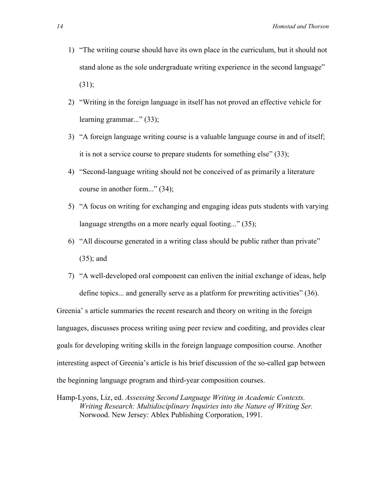- 1) "The writing course should have its own place in the curriculum, but it should not stand alone as the sole undergraduate writing experience in the second language"  $(31);$
- 2) "Writing in the foreign language in itself has not proved an effective vehicle for learning grammar..." (33);
- 3) "A foreign language writing course is a valuable language course in and of itself; it is not a service course to prepare students for something else" (33);
- 4) "Second-language writing should not be conceived of as primarily a literature course in another form..." (34);
- 5) "A focus on writing for exchanging and engaging ideas puts students with varying language strengths on a more nearly equal footing..." (35);
- 6) "All discourse generated in a writing class should be public rather than private" (35); and
- 7) "A well-developed oral component can enliven the initial exchange of ideas, help define topics... and generally serve as a platform for prewriting activities" (36).

Greenia' s article summaries the recent research and theory on writing in the foreign languages, discusses process writing using peer review and coediting, and provides clear goals for developing writing skills in the foreign language composition course. Another interesting aspect of Greenia's article is his brief discussion of the so-called gap between the beginning language program and third-year composition courses.

Hamp-Lyons, Liz, ed. *Assessing Second Language Writing in Academic Contexts. Writing Research: Multidisciplinary Inquiries into the Nature of Writing Ser.* Norwood. New Jersey: Ablex Publishing Corporation, 1991.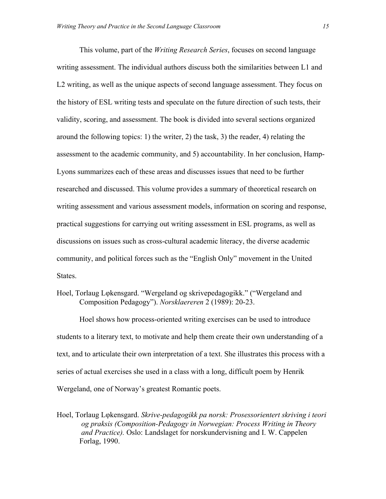This volume, part of the *Writing Research Series*, focuses on second language writing assessment. The individual authors discuss both the similarities between L1 and L2 writing, as well as the unique aspects of second language assessment. They focus on the history of ESL writing tests and speculate on the future direction of such tests, their validity, scoring, and assessment. The book is divided into several sections organized around the following topics: 1) the writer, 2) the task, 3) the reader, 4) relating the assessment to the academic community, and 5) accountability. In her conclusion, Hamp-Lyons summarizes each of these areas and discusses issues that need to be further researched and discussed. This volume provides a summary of theoretical research on writing assessment and various assessment models, information on scoring and response, practical suggestions for carrying out writing assessment in ESL programs, as well as discussions on issues such as cross-cultural academic literacy, the diverse academic community, and political forces such as the "English Only" movement in the United States.

Hoel, Torlaug Lφkensgard. "Wergeland og skrivepedagogikk." ("Wergeland and Composition Pedagogy"). *Norsklaereren* 2 (1989): 20-23.

Hoel shows how process-oriented writing exercises can be used to introduce students to a literary text, to motivate and help them create their own understanding of a text, and to articulate their own interpretation of a text. She illustrates this process with a series of actual exercises she used in a class with a long, difficult poem by Henrik Wergeland, one of Norway's greatest Romantic poets.

Hoel, Torlaug Lφkensgard. *Skrive-pedagogikk pa norsk: Prosessorientert skriving i teori og praksis (Composition-Pedagogy in Norwegian: Process Writing in Theory and Practice).* Oslo: Landslaget for norskundervisning and I. W. Cappelen Forlag, 1990.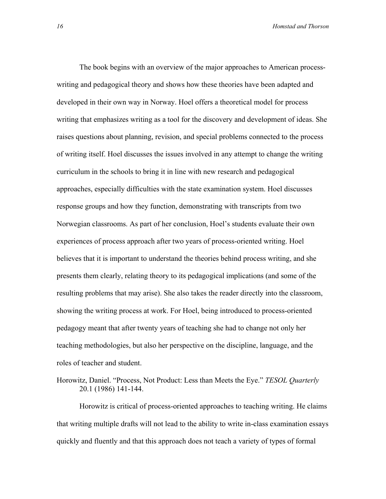The book begins with an overview of the major approaches to American processwriting and pedagogical theory and shows how these theories have been adapted and developed in their own way in Norway. Hoel offers a theoretical model for process writing that emphasizes writing as a tool for the discovery and development of ideas. She raises questions about planning, revision, and special problems connected to the process of writing itself. Hoel discusses the issues involved in any attempt to change the writing curriculum in the schools to bring it in line with new research and pedagogical approaches, especially difficulties with the state examination system. Hoel discusses response groups and how they function, demonstrating with transcripts from two Norwegian classrooms. As part of her conclusion, Hoel's students evaluate their own experiences of process approach after two years of process-oriented writing. Hoel believes that it is important to understand the theories behind process writing, and she presents them clearly, relating theory to its pedagogical implications (and some of the resulting problems that may arise). She also takes the reader directly into the classroom, showing the writing process at work. For Hoel, being introduced to process-oriented pedagogy meant that after twenty years of teaching she had to change not only her teaching methodologies, but also her perspective on the discipline, language, and the roles of teacher and student.

Horowitz, Daniel. "Process, Not Product: Less than Meets the Eye." *TESOL Quarterly* 20.1 (1986) 141-144.

Horowitz is critical of process-oriented approaches to teaching writing. He claims that writing multiple drafts will not lead to the ability to write in-class examination essays quickly and fluently and that this approach does not teach a variety of types of formal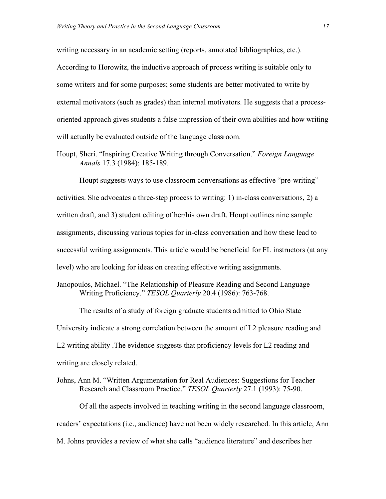writing necessary in an academic setting (reports, annotated bibliographies, etc.). According to Horowitz, the inductive approach of process writing is suitable only to some writers and for some purposes; some students are better motivated to write by external motivators (such as grades) than internal motivators. He suggests that a processoriented approach gives students a false impression of their own abilities and how writing will actually be evaluated outside of the language classroom.

Houpt, Sheri. "Inspiring Creative Writing through Conversation." *Foreign Language Annals* 17.3 (1984): 185-189.

Houpt suggests ways to use classroom conversations as effective "pre-writing" activities. She advocates a three-step process to writing: 1) in-class conversations, 2) a written draft, and 3) student editing of her/his own draft. Houpt outlines nine sample assignments, discussing various topics for in-class conversation and how these lead to successful writing assignments. This article would be beneficial for FL instructors (at any level) who are looking for ideas on creating effective writing assignments.

Janopoulos, Michael. "The Relationship of Pleasure Reading and Second Language Writing Proficiency." *TESOL Quarterly* 20.4 (1986): 763-768.

The results of a study of foreign graduate students admitted to Ohio State University indicate a strong correlation between the amount of L2 pleasure reading and L2 writing ability .The evidence suggests that proficiency levels for L2 reading and writing are closely related.

Johns, Ann M. "Written Argumentation for Real Audiences: Suggestions for Teacher Research and Classroom Practice." *TESOL Quarterly* 27.1 (1993): 75-90.

Of all the aspects involved in teaching writing in the second language classroom, readers' expectations (i.e., audience) have not been widely researched. In this article, Ann M. Johns provides a review of what she calls "audience literature" and describes her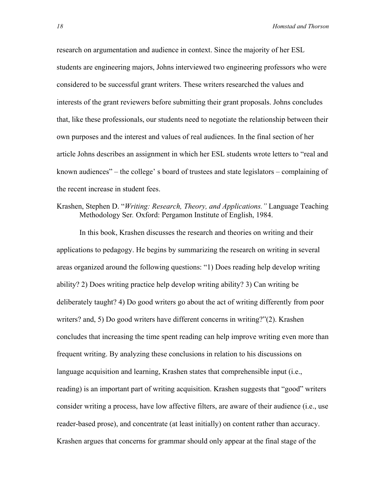research on argumentation and audience in context. Since the majority of her ESL students are engineering majors, Johns interviewed two engineering professors who were considered to be successful grant writers. These writers researched the values and interests of the grant reviewers before submitting their grant proposals. Johns concludes that, like these professionals, our students need to negotiate the relationship between their own purposes and the interest and values of real audiences. In the final section of her article Johns describes an assignment in which her ESL students wrote letters to "real and known audiences" – the college' s board of trustees and state legislators – complaining of the recent increase in student fees.

#### Krashen, Stephen D. "*Writing: Research, Theory, and Applications."* Language Teaching Methodology Ser*.* Oxford: Pergamon Institute of English, 1984.

In this book, Krashen discusses the research and theories on writing and their applications to pedagogy. He begins by summarizing the research on writing in several areas organized around the following questions: "1) Does reading help develop writing ability? 2) Does writing practice help develop writing ability? 3) Can writing be deliberately taught? 4) Do good writers go about the act of writing differently from poor writers? and, 5) Do good writers have different concerns in writing?"(2). Krashen concludes that increasing the time spent reading can help improve writing even more than frequent writing. By analyzing these conclusions in relation to his discussions on language acquisition and learning, Krashen states that comprehensible input (i.e., reading) is an important part of writing acquisition. Krashen suggests that "good" writers consider writing a process, have low affective filters, are aware of their audience (i.e., use reader-based prose), and concentrate (at least initially) on content rather than accuracy. Krashen argues that concerns for grammar should only appear at the final stage of the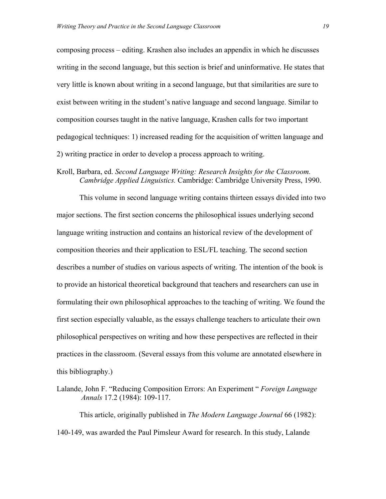composing process – editing. Krashen also includes an appendix in which he discusses writing in the second language, but this section is brief and uninformative. He states that very little is known about writing in a second language, but that similarities are sure to exist between writing in the student's native language and second language. Similar to composition courses taught in the native language, Krashen calls for two important pedagogical techniques: 1) increased reading for the acquisition of written language and 2) writing practice in order to develop a process approach to writing.

#### Kroll, Barbara, ed. *Second Language Writing: Research Insights for the Classroom. Cambridge Applied Linguistics.* Cambridge: Cambridge University Press, 1990.

This volume in second language writing contains thirteen essays divided into two major sections. The first section concerns the philosophical issues underlying second language writing instruction and contains an historical review of the development of composition theories and their application to ESL/FL teaching. The second section describes a number of studies on various aspects of writing. The intention of the book is to provide an historical theoretical background that teachers and researchers can use in formulating their own philosophical approaches to the teaching of writing. We found the first section especially valuable, as the essays challenge teachers to articulate their own philosophical perspectives on writing and how these perspectives are reflected in their practices in the classroom. (Several essays from this volume are annotated elsewhere in this bibliography.)

Lalande, John F. "Reducing Composition Errors: An Experiment " *Foreign Language Annals* 17.2 (1984): 109-117.

This article, originally published in *The Modern Language Journal* 66 (1982): 140-149, was awarded the Paul Pimsleur Award for research. In this study, Lalande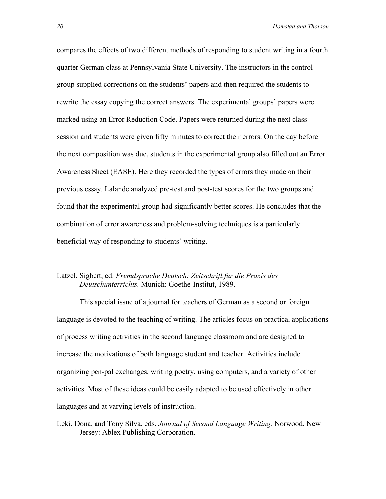compares the effects of two different methods of responding to student writing in a fourth quarter German class at Pennsylvania State University. The instructors in the control group supplied corrections on the students' papers and then required the students to rewrite the essay copying the correct answers. The experimental groups' papers were marked using an Error Reduction Code. Papers were returned during the next class session and students were given fifty minutes to correct their errors. On the day before the next composition was due, students in the experimental group also filled out an Error Awareness Sheet (EASE). Here they recorded the types of errors they made on their previous essay. Lalande analyzed pre-test and post-test scores for the two groups and found that the experimental group had significantly better scores. He concludes that the combination of error awareness and problem-solving techniques is a particularly beneficial way of responding to students' writing.

#### Latzel, Sigbert, ed. *Fremdsprache Deutsch: Zeitschrift.fur die Praxis des Deutschunterrichts.* Munich: Goethe-Institut, 1989.

This special issue of a journal for teachers of German as a second or foreign language is devoted to the teaching of writing. The articles focus on practical applications of process writing activities in the second language classroom and are designed to increase the motivations of both language student and teacher. Activities include organizing pen-pal exchanges, writing poetry, using computers, and a variety of other activities. Most of these ideas could be easily adapted to be used effectively in other languages and at varying levels of instruction.

Leki, Dona, and Tony Silva, eds. *Journal of Second Language Writing.* Norwood, New Jersey: Ablex Publishing Corporation.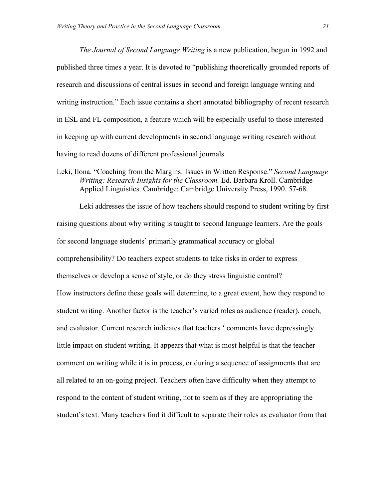*The Journal of Second Language Writing* is a new publication, begun in 1992 and published three times a year. It is devoted to "publishing theoretically grounded reports of research and discussions of central issues in second and foreign language writing and writing instruction." Each issue contains a short annotated bibliography of recent research in ESL and FL composition, a feature which will be especially useful to those interested in keeping up with current developments in second language writing research without having to read dozens of different professional journals.

Leki, Ilona. "Coaching from the Margins: Issues in Written Response." *Second Language Writing: Research Insights for the Classroom.* Ed. Barbara Kroll. Cambridge Applied Linguistics. Cambridge: Cambridge University Press, 1990. 57-68.

Leki addresses the issue of how teachers should respond to student writing by first raising questions about why writing is taught to second language learners. Are the goals for second language students' primarily grammatical accuracy or global comprehensibility? Do teachers expect students to take risks in order to express themselves or develop a sense of style, or do they stress linguistic control? How instructors define these goals will determine, to a great extent, how they respond to student writing. Another factor is the teacher's varied roles as audience (reader), coach, and evaluator. Current research indicates that teachers ' comments have depressingly little impact on student writing. It appears that what is most helpful is that the teacher comment on writing while it is in process, or during a sequence of assignments that are all related to an on-going project. Teachers often have difficulty when they attempt to respond to the content of student writing, not to seem as if they are appropriating the student's text. Many teachers find it difficult to separate their roles as evaluator from that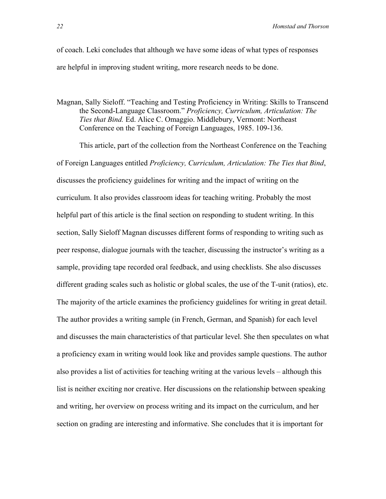of coach. Leki concludes that although we have some ideas of what types of responses are helpful in improving student writing, more research needs to be done.

Magnan, Sally Sieloff. "Teaching and Testing Proficiency in Writing: Skills to Transcend the Second-Language Classroom." *Proficiency, Curriculum, Articulation: The Ties that Bind.* Ed. Alice C. Omaggio. Middlebury, Vermont: Northeast Conference on the Teaching of Foreign Languages, 1985. 109-136.

This article, part of the collection from the Northeast Conference on the Teaching of Foreign Languages entitled *Proficiency, Curriculum, Articulation: The Ties that Bind*, discusses the proficiency guidelines for writing and the impact of writing on the curriculum. It also provides classroom ideas for teaching writing. Probably the most helpful part of this article is the final section on responding to student writing. In this section, Sally Sieloff Magnan discusses different forms of responding to writing such as peer response, dialogue journals with the teacher, discussing the instructor's writing as a sample, providing tape recorded oral feedback, and using checklists. She also discusses different grading scales such as holistic or global scales, the use of the T-unit (ratios), etc. The majority of the article examines the proficiency guidelines for writing in great detail. The author provides a writing sample (in French, German, and Spanish) for each level and discusses the main characteristics of that particular level. She then speculates on what a proficiency exam in writing would look like and provides sample questions. The author also provides a list of activities for teaching writing at the various levels – although this list is neither exciting nor creative. Her discussions on the relationship between speaking and writing, her overview on process writing and its impact on the curriculum, and her section on grading are interesting and informative. She concludes that it is important for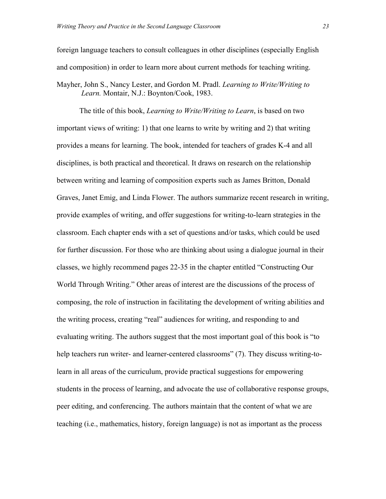foreign language teachers to consult colleagues in other disciplines (especially English and composition) in order to learn more about current methods for teaching writing. Mayher, John S., Nancy Lester, and Gordon M. Pradl. *Learning to Write/Writing to Learn.* Montair, N.J.: Boynton/Cook, 1983.

The title of this book, *Learning to Write/Writing to Learn*, is based on two important views of writing: 1) that one learns to write by writing and 2) that writing provides a means for learning. The book, intended for teachers of grades K-4 and all disciplines, is both practical and theoretical. It draws on research on the relationship between writing and learning of composition experts such as James Britton, Donald Graves, Janet Emig, and Linda Flower. The authors summarize recent research in writing, provide examples of writing, and offer suggestions for writing-to-learn strategies in the classroom. Each chapter ends with a set of questions and/or tasks, which could be used for further discussion. For those who are thinking about using a dialogue journal in their classes, we highly recommend pages 22-35 in the chapter entitled "Constructing Our World Through Writing." Other areas of interest are the discussions of the process of composing, the role of instruction in facilitating the development of writing abilities and the writing process, creating "real" audiences for writing, and responding to and evaluating writing. The authors suggest that the most important goal of this book is "to help teachers run writer- and learner-centered classrooms" (7). They discuss writing-tolearn in all areas of the curriculum, provide practical suggestions for empowering students in the process of learning, and advocate the use of collaborative response groups, peer editing, and conferencing. The authors maintain that the content of what we are teaching (i.e., mathematics, history, foreign language) is not as important as the process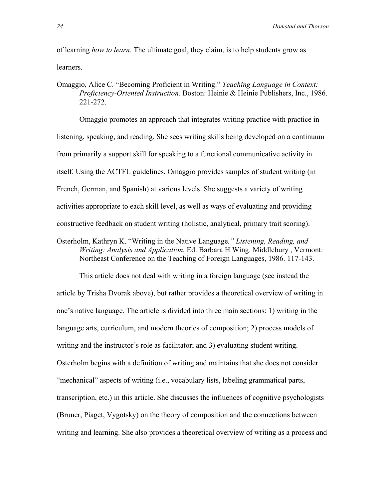of learning *how to learn*. The ultimate goal, they claim, is to help students grow as learners.

Omaggio, Alice C. "Becoming Proficient in Writing." *Teaching Language in Context: Proficiency-Oriented Instruction.* Boston: Heinie & Heinie Publishers, Inc., 1986. 221-272.

Omaggio promotes an approach that integrates writing practice with practice in listening, speaking, and reading. She sees writing skills being developed on a continuum from primarily a support skill for speaking to a functional communicative activity in itself. Using the ACTFL guidelines, Omaggio provides samples of student writing (in French, German, and Spanish) at various levels. She suggests a variety of writing activities appropriate to each skill level, as well as ways of evaluating and providing constructive feedback on student writing (holistic, analytical, primary trait scoring).

Osterholm, Kathryn K. "Writing in the Native Language*." Listening, Reading, and Writing: Analysis and Application.* Ed. Barbara H Wing. Middlebury , Vermont: Northeast Conference on the Teaching of Foreign Languages, 1986. 117-143.

This article does not deal with writing in a foreign language (see instead the article by Trisha Dvorak above), but rather provides a theoretical overview of writing in one's native language. The article is divided into three main sections: 1) writing in the language arts, curriculum, and modern theories of composition; 2) process models of writing and the instructor's role as facilitator; and 3) evaluating student writing. Osterholm begins with a definition of writing and maintains that she does not consider "mechanical" aspects of writing (i.e., vocabulary lists, labeling grammatical parts, transcription, etc.) in this article. She discusses the influences of cognitive psychologists (Bruner, Piaget, Vygotsky) on the theory of composition and the connections between writing and learning. She also provides a theoretical overview of writing as a process and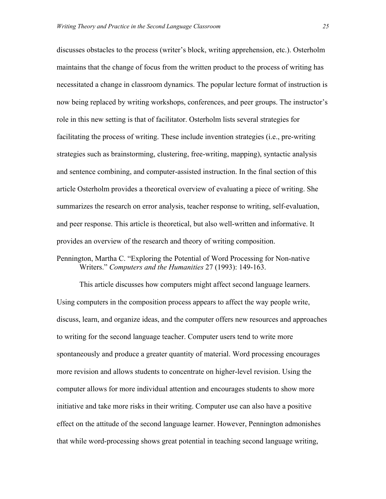discusses obstacles to the process (writer's block, writing apprehension, etc.). Osterholm maintains that the change of focus from the written product to the process of writing has necessitated a change in classroom dynamics. The popular lecture format of instruction is now being replaced by writing workshops, conferences, and peer groups. The instructor's role in this new setting is that of facilitator. Osterholm lists several strategies for facilitating the process of writing. These include invention strategies (i.e., pre-writing strategies such as brainstorming, clustering, free-writing, mapping), syntactic analysis and sentence combining, and computer-assisted instruction. In the final section of this article Osterholm provides a theoretical overview of evaluating a piece of writing. She summarizes the research on error analysis, teacher response to writing, self-evaluation, and peer response. This article is theoretical, but also well-written and informative. It provides an overview of the research and theory of writing composition.

#### Pennington, Martha C. "Exploring the Potential of Word Processing for Non-native Writers." *Computers and the Humanities* 27 (1993): 149-163.

This article discusses how computers might affect second language learners. Using computers in the composition process appears to affect the way people write, discuss, learn, and organize ideas, and the computer offers new resources and approaches to writing for the second language teacher. Computer users tend to write more spontaneously and produce a greater quantity of material. Word processing encourages more revision and allows students to concentrate on higher-level revision. Using the computer allows for more individual attention and encourages students to show more initiative and take more risks in their writing. Computer use can also have a positive effect on the attitude of the second language learner. However, Pennington admonishes that while word-processing shows great potential in teaching second language writing,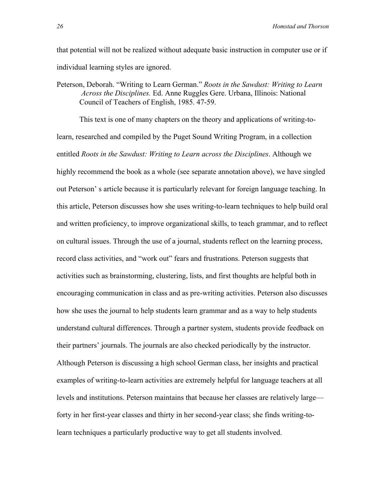that potential will not be realized without adequate basic instruction in computer use or if individual learning styles are ignored.

Peterson, Deborah. "Writing to Learn German." *Roots in the Sawdust: Writing to Learn Across the Disciplines.* Ed. Anne Ruggles Gere. Urbana, Illinois: National Council of Teachers of English, 1985. 47-59.

This text is one of many chapters on the theory and applications of writing-tolearn, researched and compiled by the Puget Sound Writing Program, in a collection entitled *Roots in the Sawdust: Writing to Learn across the Disciplines*. Although we highly recommend the book as a whole (see separate annotation above), we have singled out Peterson' s article because it is particularly relevant for foreign language teaching. In this article, Peterson discusses how she uses writing-to-learn techniques to help build oral and written proficiency, to improve organizational skills, to teach grammar, and to reflect on cultural issues. Through the use of a journal, students reflect on the learning process, record class activities, and "work out" fears and frustrations. Peterson suggests that activities such as brainstorming, clustering, lists, and first thoughts are helpful both in encouraging communication in class and as pre-writing activities. Peterson also discusses how she uses the journal to help students learn grammar and as a way to help students understand cultural differences. Through a partner system, students provide feedback on their partners' journals. The journals are also checked periodically by the instructor. Although Peterson is discussing a high school German class, her insights and practical examples of writing-to-learn activities are extremely helpful for language teachers at all levels and institutions. Peterson maintains that because her classes are relatively large forty in her first-year classes and thirty in her second-year class; she finds writing-tolearn techniques a particularly productive way to get all students involved.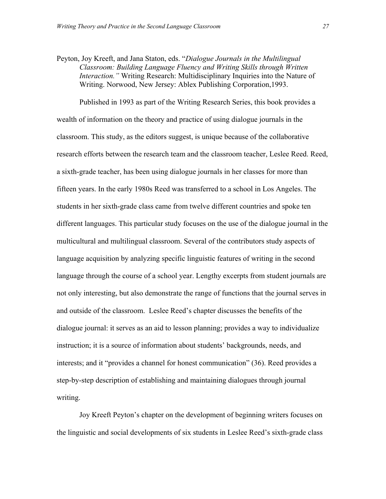Peyton, Joy Kreeft, and Jana Staton, eds. "*Dialogue Journals in the Multilingual Classroom: Building Language Fluency and Writing Skills through Written Interaction."* Writing Research: Multidisciplinary Inquiries into the Nature of Writing. Norwood, New Jersey: Ablex Publishing Corporation,1993.

Published in 1993 as part of the Writing Research Series, this book provides a wealth of information on the theory and practice of using dialogue journals in the classroom. This study, as the editors suggest, is unique because of the collaborative research efforts between the research team and the classroom teacher, Leslee Reed. Reed, a sixth-grade teacher, has been using dialogue journals in her classes for more than fifteen years. In the early 1980s Reed was transferred to a school in Los Angeles. The students in her sixth-grade class came from twelve different countries and spoke ten different languages. This particular study focuses on the use of the dialogue journal in the multicultural and multilingual classroom. Several of the contributors study aspects of language acquisition by analyzing specific linguistic features of writing in the second language through the course of a school year. Lengthy excerpts from student journals are not only interesting, but also demonstrate the range of functions that the journal serves in and outside of the classroom. Leslee Reed's chapter discusses the benefits of the dialogue journal: it serves as an aid to lesson planning; provides a way to individualize instruction; it is a source of information about students' backgrounds, needs, and interests; and it "provides a channel for honest communication" (36). Reed provides a step-by-step description of establishing and maintaining dialogues through journal writing.

Joy Kreeft Peyton's chapter on the development of beginning writers focuses on the linguistic and social developments of six students in Leslee Reed's sixth-grade class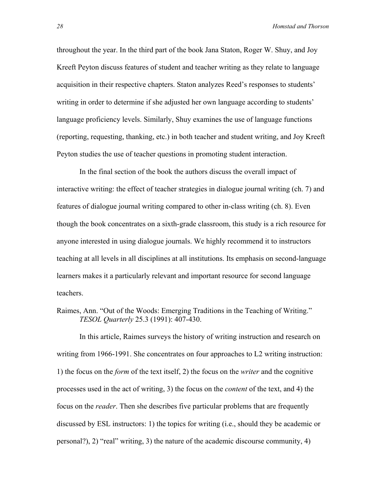throughout the year. In the third part of the book Jana Staton, Roger W. Shuy, and Joy Kreeft Peyton discuss features of student and teacher writing as they relate to language acquisition in their respective chapters. Staton analyzes Reed's responses to students' writing in order to determine if she adjusted her own language according to students' language proficiency levels. Similarly, Shuy examines the use of language functions (reporting, requesting, thanking, etc.) in both teacher and student writing, and Joy Kreeft Peyton studies the use of teacher questions in promoting student interaction.

In the final section of the book the authors discuss the overall impact of interactive writing: the effect of teacher strategies in dialogue journal writing (ch. 7) and features of dialogue journal writing compared to other in-class writing (ch. 8). Even though the book concentrates on a sixth-grade classroom, this study is a rich resource for anyone interested in using dialogue journals. We highly recommend it to instructors teaching at all levels in all disciplines at all institutions. Its emphasis on second-language learners makes it a particularly relevant and important resource for second language teachers.

Raimes, Ann. "Out of the Woods: Emerging Traditions in the Teaching of Writing." *TESOL Quarterly* 25.3 (1991): 407-430.

In this article, Raimes surveys the history of writing instruction and research on writing from 1966-1991. She concentrates on four approaches to L2 writing instruction: 1) the focus on the *form* of the text itself, 2) the focus on the *writer* and the cognitive processes used in the act of writing, 3) the focus on the *content* of the text, and 4) the focus on the *reader*. Then she describes five particular problems that are frequently discussed by ESL instructors: 1) the topics for writing (i.e., should they be academic or personal?), 2) "real" writing, 3) the nature of the academic discourse community, 4)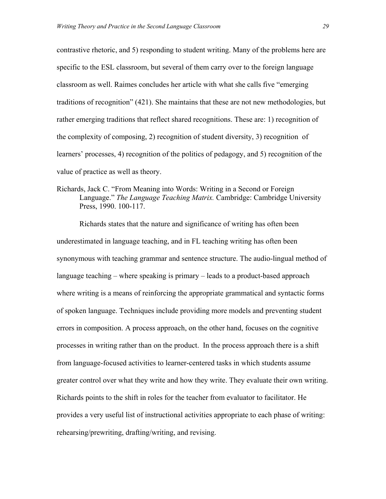contrastive rhetoric, and 5) responding to student writing. Many of the problems here are specific to the ESL classroom, but several of them carry over to the foreign language classroom as well. Raimes concludes her article with what she calls five "emerging traditions of recognition" (421). She maintains that these are not new methodologies, but rather emerging traditions that reflect shared recognitions. These are: 1) recognition of the complexity of composing, 2) recognition of student diversity, 3) recognition of learners' processes, 4) recognition of the politics of pedagogy, and 5) recognition of the value of practice as well as theory.

Richards, Jack C. "From Meaning into Words: Writing in a Second or Foreign Language." *The Language Teaching Matrix.* Cambridge: Cambridge University Press, 1990. 100-117.

Richards states that the nature and significance of writing has often been underestimated in language teaching, and in FL teaching writing has often been synonymous with teaching grammar and sentence structure. The audio-lingual method of language teaching – where speaking is primary – leads to a product-based approach where writing is a means of reinforcing the appropriate grammatical and syntactic forms of spoken language. Techniques include providing more models and preventing student errors in composition. A process approach, on the other hand, focuses on the cognitive processes in writing rather than on the product. In the process approach there is a shift from language-focused activities to learner-centered tasks in which students assume greater control over what they write and how they write. They evaluate their own writing. Richards points to the shift in roles for the teacher from evaluator to facilitator. He provides a very useful list of instructional activities appropriate to each phase of writing: rehearsing/prewriting, drafting/writing, and revising.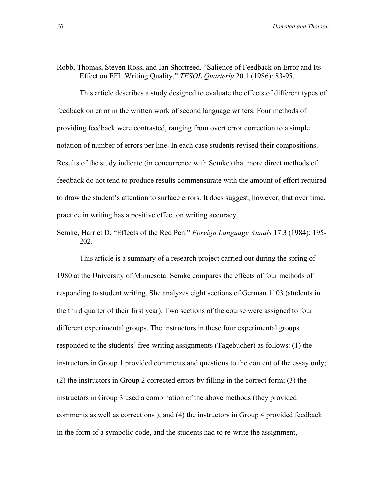#### Robb, Thomas, Steven Ross, and Ian Shortreed. "Salience of Feedback on Error and Its Effect on EFL Writing Quality." *TESOL Quarterly* 20.1 (1986): 83-95.

This article describes a study designed to evaluate the effects of different types of feedback on error in the written work of second language writers. Four methods of providing feedback were contrasted, ranging from overt error correction to a simple notation of number of errors per line. In each case students revised their compositions. Results of the study indicate (in concurrence with Semke) that more direct methods of feedback do not tend to produce results commensurate with the amount of effort required to draw the student's attention to surface errors. It does suggest, however, that over time, practice in writing has a positive effect on writing accuracy.

Semke, Harriet D. "Effects of the Red Pen." *Foreign Language Annals* 17.3 (1984): 195- 202.

This article is a summary of a research project carried out during the spring of 1980 at the University of Minnesota. Semke compares the effects of four methods of responding to student writing. She analyzes eight sections of German 1103 (students in the third quarter of their first year). Two sections of the course were assigned to four different experimental groups. The instructors in these four experimental groups responded to the students' free-writing assignments (Tagebucher) as follows: (1) the instructors in Group 1 provided comments and questions to the content of the essay only; (2) the instructors in Group 2 corrected errors by filling in the correct form; (3) the instructors in Group 3 used a combination of the above methods (they provided comments as well as corrections ); and (4) the instructors in Group 4 provided feedback in the form of a symbolic code, and the students had to re-write the assignment,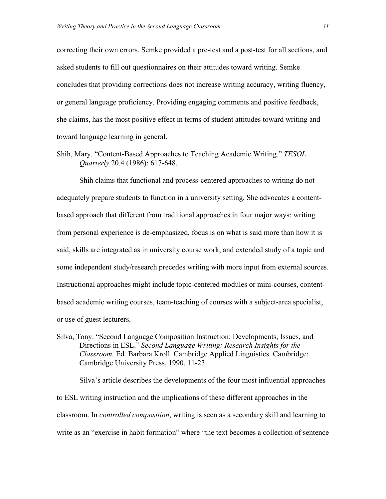correcting their own errors. Semke provided a pre-test and a post-test for all sections, and asked students to fill out questionnaires on their attitudes toward writing. Semke concludes that providing corrections does not increase writing accuracy, writing fluency, or general language proficiency. Providing engaging comments and positive feedback, she claims, has the most positive effect in terms of student attitudes toward writing and toward language learning in general.

Shih, Mary. "Content-Based Approaches to Teaching Academic Writing." *TESOL Quarterly* 20.4 (1986): 617-648.

Shih claims that functional and process-centered approaches to writing do not adequately prepare students to function in a university setting. She advocates a contentbased approach that different from traditional approaches in four major ways: writing from personal experience is de-emphasized, focus is on what is said more than how it is said, skills are integrated as in university course work, and extended study of a topic and some independent study/research precedes writing with more input from external sources. Instructional approaches might include topic-centered modules or mini-courses, contentbased academic writing courses, team-teaching of courses with a subject-area specialist, or use of guest lecturers.

Silva, Tony. "Second Language Composition Instruction: Developments, Issues, and Directions in ESL." *Second Language Writing: Research Insights for the Classroom.* Ed. Barbara Kroll. Cambridge Applied Linguistics. Cambridge: Cambridge University Press, 1990. 11-23.

Silva's article describes the developments of the four most influential approaches to ESL writing instruction and the implications of these different approaches in the classroom. In *controlled composition*, writing is seen as a secondary skill and learning to write as an "exercise in habit formation" where "the text becomes a collection of sentence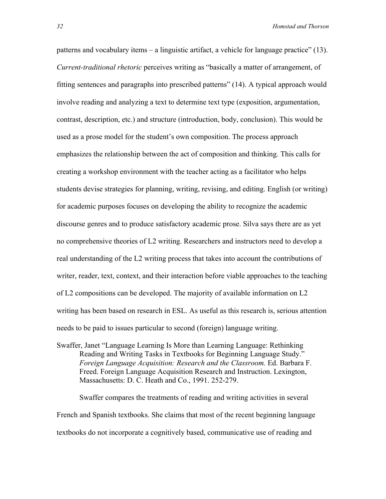patterns and vocabulary items – a linguistic artifact, a vehicle for language practice" (13). *Current-traditional rhetoric* perceives writing as "basically a matter of arrangement, of fitting sentences and paragraphs into prescribed patterns" (14). A typical approach would involve reading and analyzing a text to determine text type (exposition, argumentation, contrast, description, etc.) and structure (introduction, body, conclusion). This would be used as a prose model for the student's own composition. The process approach emphasizes the relationship between the act of composition and thinking. This calls for creating a workshop environment with the teacher acting as a facilitator who helps students devise strategies for planning, writing, revising, and editing. English (or writing) for academic purposes focuses on developing the ability to recognize the academic discourse genres and to produce satisfactory academic prose. Silva says there are as yet no comprehensive theories of L2 writing. Researchers and instructors need to develop a real understanding of the L2 writing process that takes into account the contributions of writer, reader, text, context, and their interaction before viable approaches to the teaching of L2 compositions can be developed. The majority of available information on L2 writing has been based on research in ESL. As useful as this research is, serious attention needs to be paid to issues particular to second (foreign) language writing.

Swaffer, Janet "Language Learning Is More than Learning Language: Rethinking Reading and Writing Tasks in Textbooks for Beginning Language Study." *Foreign Language Acquisition: Research and the Classroom.* Ed. Barbara F. Freed. Foreign Language Acquisition Research and Instruction. Lexington, Massachusetts: D. C. Heath and Co., 1991. 252-279.

Swaffer compares the treatments of reading and writing activities in several French and Spanish textbooks. She claims that most of the recent beginning language textbooks do not incorporate a cognitively based, communicative use of reading and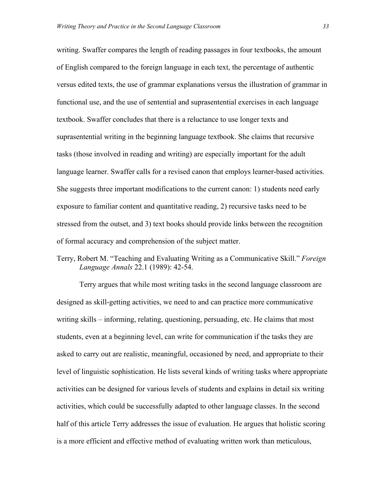writing. Swaffer compares the length of reading passages in four textbooks, the amount of English compared to the foreign language in each text, the percentage of authentic versus edited texts, the use of grammar explanations versus the illustration of grammar in functional use, and the use of sentential and suprasentential exercises in each language textbook. Swaffer concludes that there is a reluctance to use longer texts and suprasentential writing in the beginning language textbook. She claims that recursive tasks (those involved in reading and writing) are especially important for the adult language learner. Swaffer calls for a revised canon that employs learner-based activities. She suggests three important modifications to the current canon: 1) students need early exposure to familiar content and quantitative reading, 2) recursive tasks need to be stressed from the outset, and 3) text books should provide links between the recognition of formal accuracy and comprehension of the subject matter.

Terry, Robert M. "Teaching and Evaluating Writing as a Communicative Skill." *Foreign Language Annals* 22.1 (1989): 42-54.

Terry argues that while most writing tasks in the second language classroom are designed as skill-getting activities, we need to and can practice more communicative writing skills – informing, relating, questioning, persuading, etc. He claims that most students, even at a beginning level, can write for communication if the tasks they are asked to carry out are realistic, meaningful, occasioned by need, and appropriate to their level of linguistic sophistication. He lists several kinds of writing tasks where appropriate activities can be designed for various levels of students and explains in detail six writing activities, which could be successfully adapted to other language classes. In the second half of this article Terry addresses the issue of evaluation. He argues that holistic scoring is a more efficient and effective method of evaluating written work than meticulous,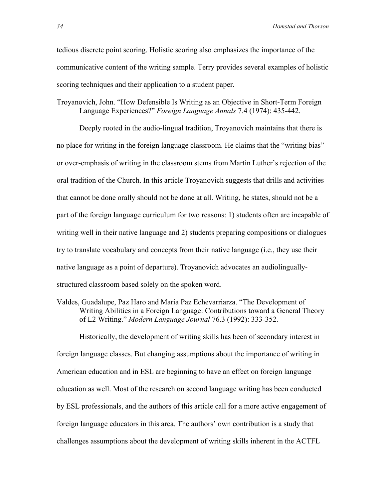tedious discrete point scoring. Holistic scoring also emphasizes the importance of the communicative content of the writing sample. Terry provides several examples of holistic scoring techniques and their application to a student paper.

Troyanovich, John. "How Defensible Is Writing as an Objective in Short-Term Foreign Language Experiences?" *Foreign Language Annals* 7.4 (1974): 435-442.

Deeply rooted in the audio-lingual tradition, Troyanovich maintains that there is no place for writing in the foreign language classroom. He claims that the "writing bias" or over-emphasis of writing in the classroom stems from Martin Luther's rejection of the oral tradition of the Church. In this article Troyanovich suggests that drills and activities that cannot be done orally should not be done at all. Writing, he states, should not be a part of the foreign language curriculum for two reasons: 1) students often are incapable of writing well in their native language and 2) students preparing compositions or dialogues try to translate vocabulary and concepts from their native language (i.e., they use their native language as a point of departure). Troyanovich advocates an audiolinguallystructured classroom based solely on the spoken word.

Valdes, Guadalupe, Paz Haro and Maria Paz Echevarriarza. "The Development of Writing Abilities in a Foreign Language: Contributions toward a General Theory of L2 Writing." *Modern Language Journal* 76.3 (1992): 333-352.

Historically, the development of writing skills has been of secondary interest in foreign language classes. But changing assumptions about the importance of writing in American education and in ESL are beginning to have an effect on foreign language education as well. Most of the research on second language writing has been conducted by ESL professionals, and the authors of this article call for a more active engagement of foreign language educators in this area. The authors' own contribution is a study that challenges assumptions about the development of writing skills inherent in the ACTFL